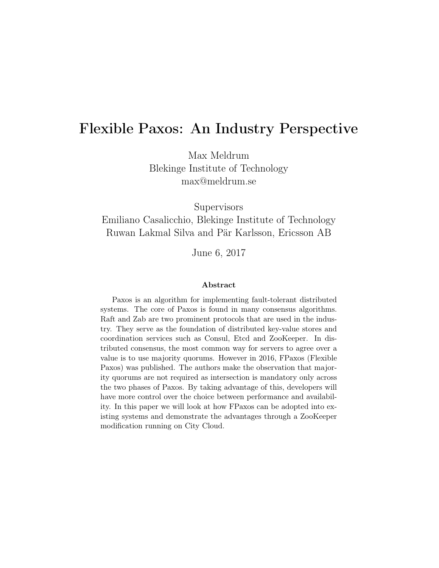# Flexible Paxos: An Industry Perspective

Max Meldrum Blekinge Institute of Technology max@meldrum.se

**Supervisors** 

Emiliano Casalicchio, Blekinge Institute of Technology Ruwan Lakmal Silva and Pär Karlsson, Ericsson AB

June 6, 2017

#### Abstract

Paxos is an algorithm for implementing fault-tolerant distributed systems. The core of Paxos is found in many consensus algorithms. Raft and Zab are two prominent protocols that are used in the industry. They serve as the foundation of distributed key-value stores and coordination services such as Consul, Etcd and ZooKeeper. In distributed consensus, the most common way for servers to agree over a value is to use majority quorums. However in 2016, FPaxos (Flexible Paxos) was published. The authors make the observation that majority quorums are not required as intersection is mandatory only across the two phases of Paxos. By taking advantage of this, developers will have more control over the choice between performance and availability. In this paper we will look at how FPaxos can be adopted into existing systems and demonstrate the advantages through a ZooKeeper modification running on City Cloud.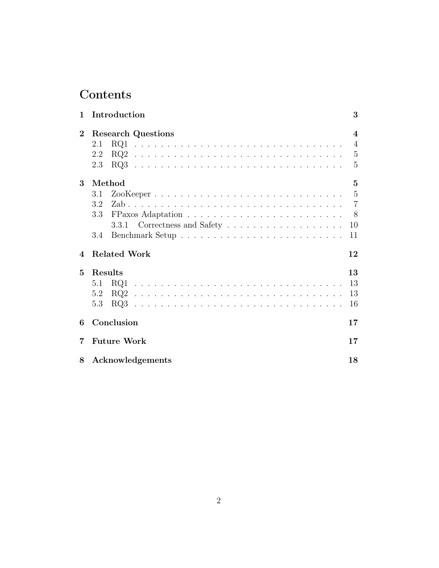# Contents

| $\mathbf{1}$           | Introduction              | 3                       |
|------------------------|---------------------------|-------------------------|
| $\overline{2}$         | <b>Research Questions</b> | $\overline{\mathbf{4}}$ |
|                        | 2.1                       | $\overline{4}$          |
|                        | 2.2                       | $\overline{5}$          |
|                        | 2.3                       | 5                       |
| 3                      | Method                    | 5                       |
|                        | 3.1                       |                         |
|                        | 3.2                       |                         |
|                        | $3.3\,$                   | - 8                     |
|                        |                           | 10                      |
|                        | 3.4                       | 11                      |
| $\boldsymbol{\Lambda}$ | <b>Related Work</b>       | 12                      |
| $\mathbf{5}$           | Results                   | 13                      |
|                        | 5.1                       | 13                      |
|                        | 5.2                       | 13                      |
|                        | 5.3                       | 16                      |
| 6                      | Conclusion                | 17                      |
| 7                      | <b>Future Work</b>        | 17                      |
| 8                      | Acknowledgements          | 18                      |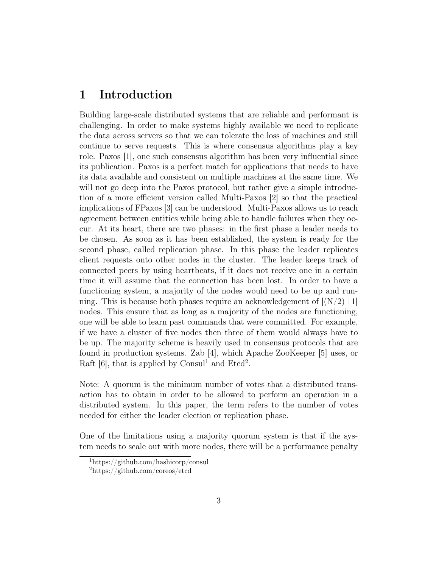# 1 Introduction

Building large-scale distributed systems that are reliable and performant is challenging. In order to make systems highly available we need to replicate the data across servers so that we can tolerate the loss of machines and still continue to serve requests. This is where consensus algorithms play a key role. Paxos [1], one such consensus algorithm has been very influential since its publication. Paxos is a perfect match for applications that needs to have its data available and consistent on multiple machines at the same time. We will not go deep into the Paxos protocol, but rather give a simple introduction of a more efficient version called Multi-Paxos [2] so that the practical implications of FPaxos [3] can be understood. Multi-Paxos allows us to reach agreement between entities while being able to handle failures when they occur. At its heart, there are two phases: in the first phase a leader needs to be chosen. As soon as it has been established, the system is ready for the second phase, called replication phase. In this phase the leader replicates client requests onto other nodes in the cluster. The leader keeps track of connected peers by using heartbeats, if it does not receive one in a certain time it will assume that the connection has been lost. In order to have a functioning system, a majority of the nodes would need to be up and running. This is because both phases require an acknowledgement of  $[(N/2)+1]$ nodes. This ensure that as long as a majority of the nodes are functioning, one will be able to learn past commands that were committed. For example, if we have a cluster of five nodes then three of them would always have to be up. The majority scheme is heavily used in consensus protocols that are found in production systems. Zab [4], which Apache ZooKeeper [5] uses, or Raft  $[6]$ , that is applied by Consul<sup>1</sup> and Etcd<sup>2</sup>.

Note: A quorum is the minimum number of votes that a distributed transaction has to obtain in order to be allowed to perform an operation in a distributed system. In this paper, the term refers to the number of votes needed for either the leader election or replication phase.

One of the limitations using a majority quorum system is that if the system needs to scale out with more nodes, there will be a performance penalty

<sup>1</sup>https://github.com/hashicorp/consul

<sup>2</sup>https://github.com/coreos/etcd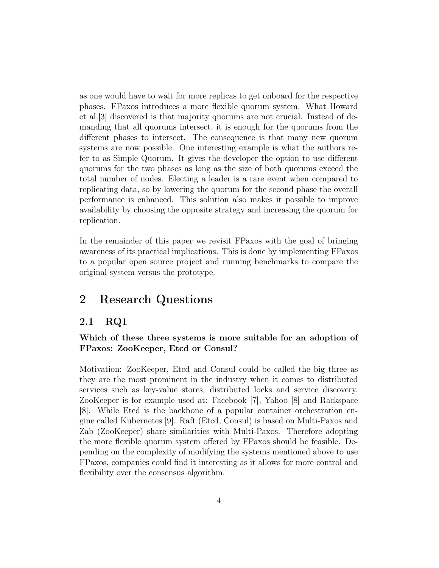as one would have to wait for more replicas to get onboard for the respective phases. FPaxos introduces a more flexible quorum system. What Howard et al.[3] discovered is that majority quorums are not crucial. Instead of demanding that all quorums intersect, it is enough for the quorums from the different phases to intersect. The consequence is that many new quorum systems are now possible. One interesting example is what the authors refer to as Simple Quorum. It gives the developer the option to use different quorums for the two phases as long as the size of both quorums exceed the total number of nodes. Electing a leader is a rare event when compared to replicating data, so by lowering the quorum for the second phase the overall performance is enhanced. This solution also makes it possible to improve availability by choosing the opposite strategy and increasing the quorum for replication.

In the remainder of this paper we revisit FPaxos with the goal of bringing awareness of its practical implications. This is done by implementing FPaxos to a popular open source project and running benchmarks to compare the original system versus the prototype.

# 2 Research Questions

### 2.1 RQ1

#### Which of these three systems is more suitable for an adoption of FPaxos: ZooKeeper, Etcd or Consul?

Motivation: ZooKeeper, Etcd and Consul could be called the big three as they are the most prominent in the industry when it comes to distributed services such as key-value stores, distributed locks and service discovery. ZooKeeper is for example used at: Facebook [7], Yahoo [8] and Rackspace [8]. While Etcd is the backbone of a popular container orchestration engine called Kubernetes [9]. Raft (Etcd, Consul) is based on Multi-Paxos and Zab (ZooKeeper) share similarities with Multi-Paxos. Therefore adopting the more flexible quorum system offered by FPaxos should be feasible. Depending on the complexity of modifying the systems mentioned above to use FPaxos, companies could find it interesting as it allows for more control and flexibility over the consensus algorithm.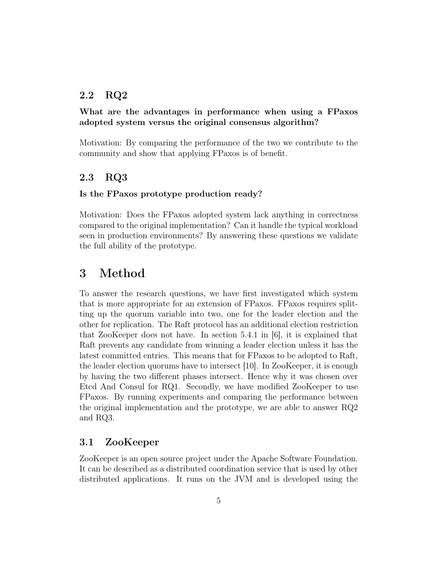### 2.2 RQ2

#### What are the advantages in performance when using a FPaxos adopted system versus the original consensus algorithm?

Motivation: By comparing the performance of the two we contribute to the community and show that applying FPaxos is of benefit.

### 2.3 RQ3

#### Is the FPaxos prototype production ready?

Motivation: Does the FPaxos adopted system lack anything in correctness compared to the original implementation? Can it handle the typical workload seen in production environments? By answering these questions we validate the full ability of the prototype.

### 3 Method

To answer the research questions, we have first investigated which system that is more appropriate for an extension of FPaxos. FPaxos requires splitting up the quorum variable into two, one for the leader election and the other for replication. The Raft protocol has an additional election restriction that ZooKeeper does not have. In section 5.4.1 in  $|6|$ , it is explained that Raft prevents any candidate from winning a leader election unless it has the latest committed entries. This means that for FPaxos to be adopted to Raft, the leader election quorums have to intersect [10]. In ZooKeeper, it is enough by having the two different phases intersect. Hence why it was chosen over Etcd And Consul for RQ1. Secondly, we have modified ZooKeeper to use FPaxos. By running experiments and comparing the performance between the original implementation and the prototype, we are able to answer RQ2 and RQ3.

#### 3.1 ZooKeeper

ZooKeeper is an open source project under the Apache Software Foundation. It can be described as a distributed coordination service that is used by other distributed applications. It runs on the JVM and is developed using the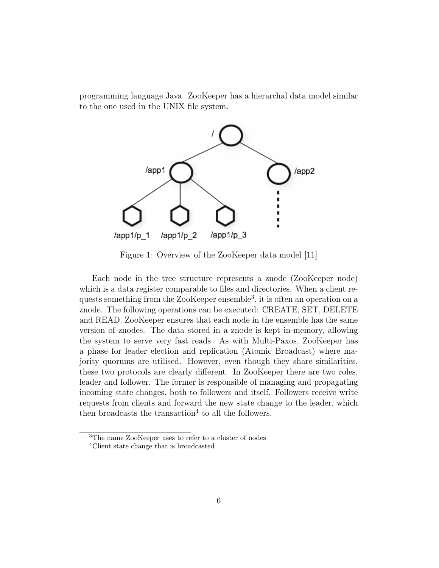programming language Java. ZooKeeper has a hierarchal data model similar to the one used in the UNIX file system.



Figure 1: Overview of the ZooKeeper data model [11]

Each node in the tree structure represents a znode (ZooKeeper node) which is a data register comparable to files and directories. When a client requests something from the ZooKeeper ensemble<sup>3</sup>, it is often an operation on a znode. The following operations can be executed: CREATE, SET, DELETE and READ. ZooKeeper ensures that each node in the ensemble has the same version of znodes. The data stored in a znode is kept in-memory, allowing the system to serve very fast reads. As with Multi-Paxos, ZooKeeper has a phase for leader election and replication (Atomic Broadcast) where majority quorums are utilised. However, even though they share similarities, these two protocols are clearly different. In ZooKeeper there are two roles, leader and follower. The former is responsible of managing and propagating incoming state changes, both to followers and itself. Followers receive write requests from clients and forward the new state change to the leader, which then broadcasts the transaction<sup>4</sup> to all the followers.

<sup>3</sup>The name ZooKeeper uses to refer to a cluster of nodes

<sup>4</sup>Client state change that is broadcasted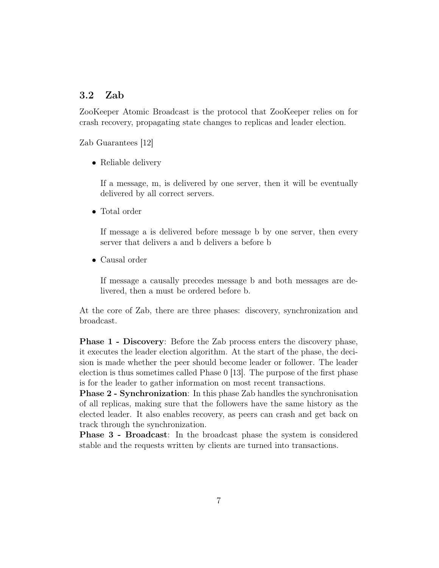#### 3.2 Zab

ZooKeeper Atomic Broadcast is the protocol that ZooKeeper relies on for crash recovery, propagating state changes to replicas and leader election.

Zab Guarantees [12]

• Reliable delivery

If a message, m, is delivered by one server, then it will be eventually delivered by all correct servers.

• Total order

If message a is delivered before message b by one server, then every server that delivers a and b delivers a before b

• Causal order

If message a causally precedes message b and both messages are delivered, then a must be ordered before b.

At the core of Zab, there are three phases: discovery, synchronization and broadcast.

Phase 1 - Discovery: Before the Zab process enters the discovery phase, it executes the leader election algorithm. At the start of the phase, the decision is made whether the peer should become leader or follower. The leader election is thus sometimes called Phase 0 [13]. The purpose of the first phase is for the leader to gather information on most recent transactions.

Phase 2 - Synchronization: In this phase Zab handles the synchronisation of all replicas, making sure that the followers have the same history as the elected leader. It also enables recovery, as peers can crash and get back on track through the synchronization.

Phase 3 - Broadcast: In the broadcast phase the system is considered stable and the requests written by clients are turned into transactions.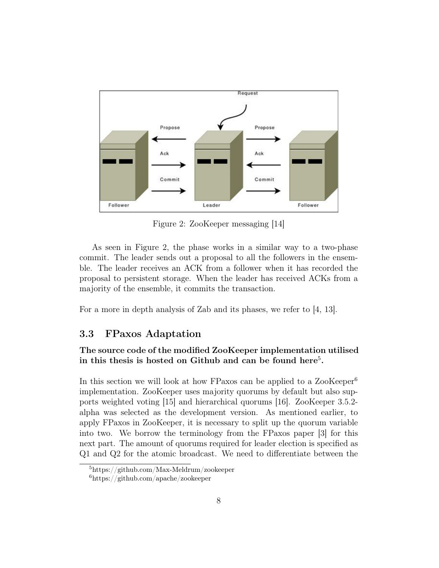

Figure 2: ZooKeeper messaging [14]

As seen in Figure 2, the phase works in a similar way to a two-phase commit. The leader sends out a proposal to all the followers in the ensemble. The leader receives an ACK from a follower when it has recorded the proposal to persistent storage. When the leader has received ACKs from a majority of the ensemble, it commits the transaction.

For a more in depth analysis of Zab and its phases, we refer to [4, 13].

#### 3.3 FPaxos Adaptation

#### The source code of the modified ZooKeeper implementation utilised in this thesis is hosted on Github and can be found here<sup>5</sup>.

In this section we will look at how FPaxos can be applied to a ZooKeeper<sup>6</sup> implementation. ZooKeeper uses majority quorums by default but also supports weighted voting [15] and hierarchical quorums [16]. ZooKeeper 3.5.2 alpha was selected as the development version. As mentioned earlier, to apply FPaxos in ZooKeeper, it is necessary to split up the quorum variable into two. We borrow the terminology from the FPaxos paper [3] for this next part. The amount of quorums required for leader election is specified as Q1 and Q2 for the atomic broadcast. We need to differentiate between the

<sup>5</sup>https://github.com/Max-Meldrum/zookeeper

 $6$ https://github.com/apache/zookeeper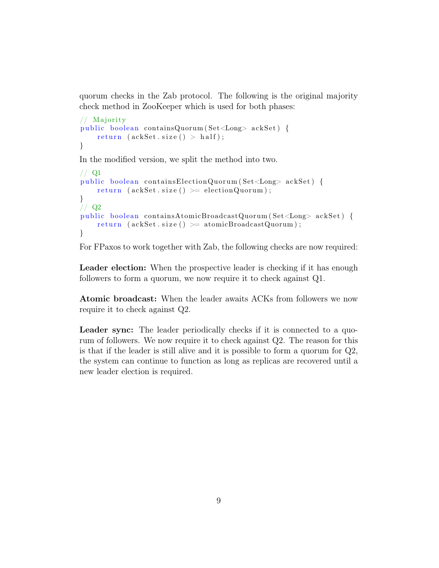quorum checks in the Zab protocol. The following is the original majority check method in ZooKeeper which is used for both phases:

```
// Majority
public boolean containsQuorum (Set<Long> ackSet) {
    return (ackSet.size() > half);}
In the modified version, we split the method into two.
// Q1
```

```
public boolean containsElectionQuorum (Set<Long> ackSet) {
    return (\text{ackSet} \cdot \text{size}() >= \text{electionQuorum});}
// Q2public boolean containsAtomicBroadcastQuorum (Set<Long> ackSet) {
    return (ackSet.size() >= atomic BroadcastQuorum);}
```
For FPaxos to work together with Zab, the following checks are now required:

Leader election: When the prospective leader is checking if it has enough followers to form a quorum, we now require it to check against Q1.

Atomic broadcast: When the leader awaits ACKs from followers we now require it to check against Q2.

Leader sync: The leader periodically checks if it is connected to a quorum of followers. We now require it to check against Q2. The reason for this is that if the leader is still alive and it is possible to form a quorum for Q2, the system can continue to function as long as replicas are recovered until a new leader election is required.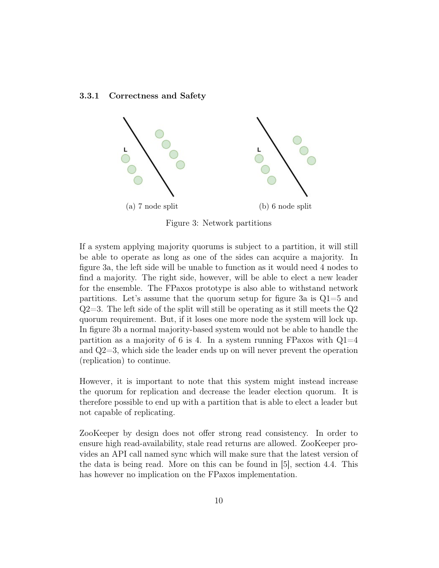#### 3.3.1 Correctness and Safety



Figure 3: Network partitions

If a system applying majority quorums is subject to a partition, it will still be able to operate as long as one of the sides can acquire a majority. In figure 3a, the left side will be unable to function as it would need 4 nodes to find a majority. The right side, however, will be able to elect a new leader for the ensemble. The FPaxos prototype is also able to withstand network partitions. Let's assume that the quorum setup for figure 3a is  $Q1=5$  and  $Q2=3$ . The left side of the split will still be operating as it still meets the  $Q2$ quorum requirement. But, if it loses one more node the system will lock up. In figure 3b a normal majority-based system would not be able to handle the partition as a majority of 6 is 4. In a system running FPaxos with  $Q1=4$ and Q2=3, which side the leader ends up on will never prevent the operation (replication) to continue.

However, it is important to note that this system might instead increase the quorum for replication and decrease the leader election quorum. It is therefore possible to end up with a partition that is able to elect a leader but not capable of replicating.

ZooKeeper by design does not offer strong read consistency. In order to ensure high read-availability, stale read returns are allowed. ZooKeeper provides an API call named sync which will make sure that the latest version of the data is being read. More on this can be found in [5], section 4.4. This has however no implication on the FPaxos implementation.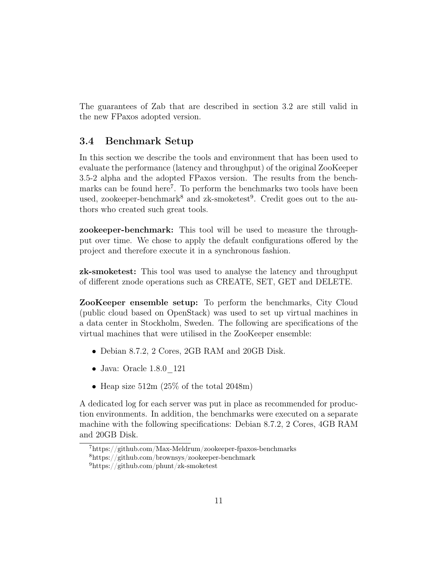The guarantees of Zab that are described in section 3.2 are still valid in the new FPaxos adopted version.

### 3.4 Benchmark Setup

In this section we describe the tools and environment that has been used to evaluate the performance (latency and throughput) of the original ZooKeeper 3.5-2 alpha and the adopted FPaxos version. The results from the benchmarks can be found here<sup>7</sup>. To perform the benchmarks two tools have been used, zookeeper-benchmark<sup>8</sup> and zk-smoketest<sup>9</sup>. Credit goes out to the authors who created such great tools.

zookeeper-benchmark: This tool will be used to measure the throughput over time. We chose to apply the default configurations offered by the project and therefore execute it in a synchronous fashion.

zk-smoketest: This tool was used to analyse the latency and throughput of different znode operations such as CREATE, SET, GET and DELETE.

ZooKeeper ensemble setup: To perform the benchmarks, City Cloud (public cloud based on OpenStack) was used to set up virtual machines in a data center in Stockholm, Sweden. The following are specifications of the virtual machines that were utilised in the ZooKeeper ensemble:

- Debian 8.7.2, 2 Cores, 2GB RAM and 20GB Disk.
- Java: Oracle 1.8.0\_121
- Heap size  $512m$  (25% of the total 2048m)

A dedicated log for each server was put in place as recommended for production environments. In addition, the benchmarks were executed on a separate machine with the following specifications: Debian 8.7.2, 2 Cores, 4GB RAM and 20GB Disk.

<sup>7</sup>https://github.com/Max-Meldrum/zookeeper-fpaxos-benchmarks

<sup>8</sup>https://github.com/brownsys/zookeeper-benchmark

<sup>9</sup>https://github.com/phunt/zk-smoketest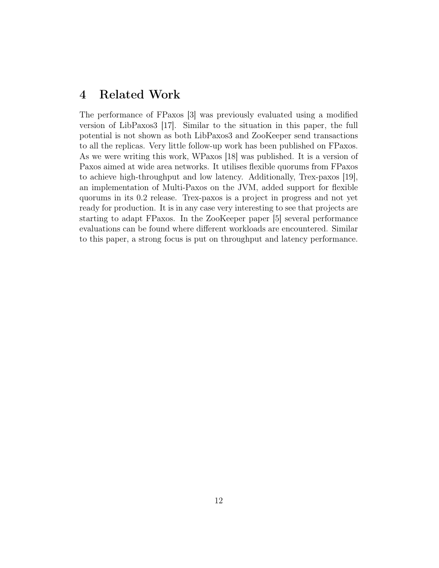### 4 Related Work

The performance of FPaxos [3] was previously evaluated using a modified version of LibPaxos3 [17]. Similar to the situation in this paper, the full potential is not shown as both LibPaxos3 and ZooKeeper send transactions to all the replicas. Very little follow-up work has been published on FPaxos. As we were writing this work, WPaxos [18] was published. It is a version of Paxos aimed at wide area networks. It utilises flexible quorums from FPaxos to achieve high-throughput and low latency. Additionally, Trex-paxos [19], an implementation of Multi-Paxos on the JVM, added support for flexible quorums in its 0.2 release. Trex-paxos is a project in progress and not yet ready for production. It is in any case very interesting to see that projects are starting to adapt FPaxos. In the ZooKeeper paper [5] several performance evaluations can be found where different workloads are encountered. Similar to this paper, a strong focus is put on throughput and latency performance.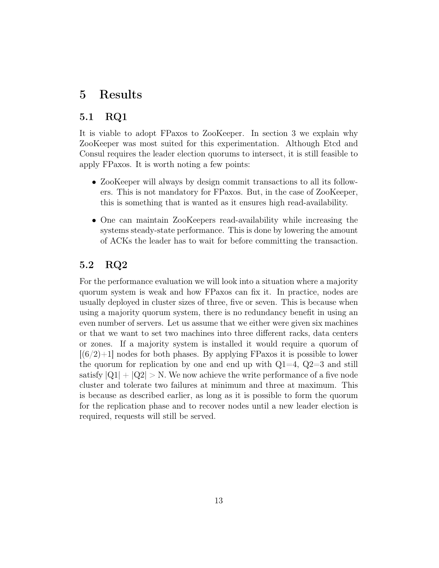## 5 Results

### 5.1 RQ1

It is viable to adopt FPaxos to ZooKeeper. In section 3 we explain why ZooKeeper was most suited for this experimentation. Although Etcd and Consul requires the leader election quorums to intersect, it is still feasible to apply FPaxos. It is worth noting a few points:

- ZooKeeper will always by design commit transactions to all its followers. This is not mandatory for FPaxos. But, in the case of ZooKeeper, this is something that is wanted as it ensures high read-availability.
- One can maintain ZooKeepers read-availability while increasing the systems steady-state performance. This is done by lowering the amount of ACKs the leader has to wait for before committing the transaction.

### 5.2 RQ2

For the performance evaluation we will look into a situation where a majority quorum system is weak and how FPaxos can fix it. In practice, nodes are usually deployed in cluster sizes of three, five or seven. This is because when using a majority quorum system, there is no redundancy benefit in using an even number of servers. Let us assume that we either were given six machines or that we want to set two machines into three different racks, data centers or zones. If a majority system is installed it would require a quorum of  $[(6/2)+1]$  nodes for both phases. By applying FPaxos it is possible to lower the quorum for replication by one and end up with  $Q1=4$ ,  $Q2=3$  and still satisfy  $|Q_1| + |Q_2| > N$ . We now achieve the write performance of a five node cluster and tolerate two failures at minimum and three at maximum. This is because as described earlier, as long as it is possible to form the quorum for the replication phase and to recover nodes until a new leader election is required, requests will still be served.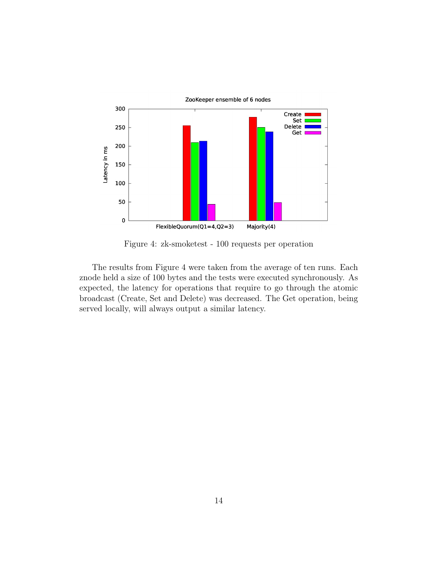

Figure 4: zk-smoketest - 100 requests per operation

The results from Figure 4 were taken from the average of ten runs. Each znode held a size of 100 bytes and the tests were executed synchronously. As expected, the latency for operations that require to go through the atomic broadcast (Create, Set and Delete) was decreased. The Get operation, being served locally, will always output a similar latency.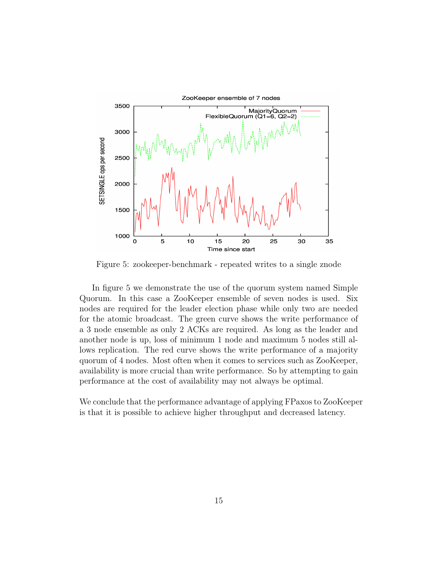

Figure 5: zookeeper-benchmark - repeated writes to a single znode

In figure 5 we demonstrate the use of the quorum system named Simple Quorum. In this case a ZooKeeper ensemble of seven nodes is used. Six nodes are required for the leader election phase while only two are needed for the atomic broadcast. The green curve shows the write performance of a 3 node ensemble as only 2 ACKs are required. As long as the leader and another node is up, loss of minimum 1 node and maximum 5 nodes still allows replication. The red curve shows the write performance of a majority quorum of 4 nodes. Most often when it comes to services such as ZooKeeper, availability is more crucial than write performance. So by attempting to gain performance at the cost of availability may not always be optimal.

We conclude that the performance advantage of applying FPaxos to ZooKeeper is that it is possible to achieve higher throughput and decreased latency.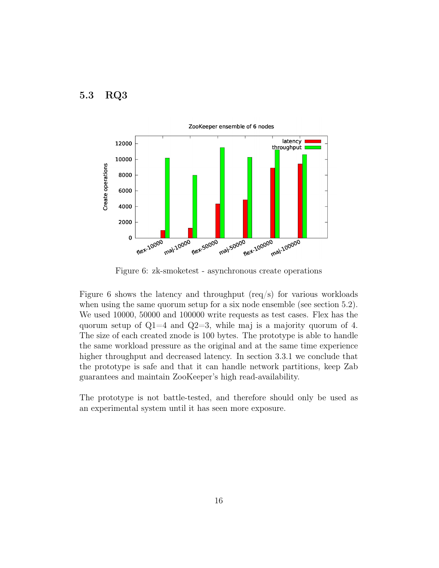



Figure 6: zk-smoketest - asynchronous create operations

Figure 6 shows the latency and throughput  $(\text{req/s})$  for various workloads when using the same quorum setup for a six node ensemble (see section 5.2). We used 10000, 50000 and 100000 write requests as test cases. Flex has the quorum setup of  $Q1=4$  and  $Q2=3$ , while maj is a majority quorum of 4. The size of each created znode is 100 bytes. The prototype is able to handle the same workload pressure as the original and at the same time experience higher throughput and decreased latency. In section 3.3.1 we conclude that the prototype is safe and that it can handle network partitions, keep Zab guarantees and maintain ZooKeeper's high read-availability.

The prototype is not battle-tested, and therefore should only be used as an experimental system until it has seen more exposure.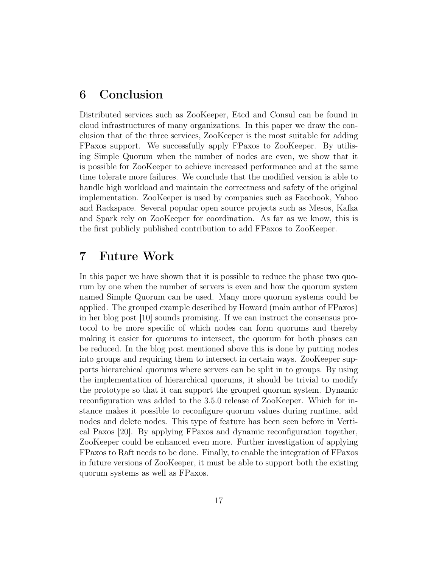### 6 Conclusion

Distributed services such as ZooKeeper, Etcd and Consul can be found in cloud infrastructures of many organizations. In this paper we draw the conclusion that of the three services, ZooKeeper is the most suitable for adding FPaxos support. We successfully apply FPaxos to ZooKeeper. By utilising Simple Quorum when the number of nodes are even, we show that it is possible for ZooKeeper to achieve increased performance and at the same time tolerate more failures. We conclude that the modified version is able to handle high workload and maintain the correctness and safety of the original implementation. ZooKeeper is used by companies such as Facebook, Yahoo and Rackspace. Several popular open source projects such as Mesos, Kafka and Spark rely on ZooKeeper for coordination. As far as we know, this is the first publicly published contribution to add FPaxos to ZooKeeper.

### 7 Future Work

In this paper we have shown that it is possible to reduce the phase two quorum by one when the number of servers is even and how the quorum system named Simple Quorum can be used. Many more quorum systems could be applied. The grouped example described by Howard (main author of FPaxos) in her blog post [10] sounds promising. If we can instruct the consensus protocol to be more specific of which nodes can form quorums and thereby making it easier for quorums to intersect, the quorum for both phases can be reduced. In the blog post mentioned above this is done by putting nodes into groups and requiring them to intersect in certain ways. ZooKeeper supports hierarchical quorums where servers can be split in to groups. By using the implementation of hierarchical quorums, it should be trivial to modify the prototype so that it can support the grouped quorum system. Dynamic reconfiguration was added to the 3.5.0 release of ZooKeeper. Which for instance makes it possible to reconfigure quorum values during runtime, add nodes and delete nodes. This type of feature has been seen before in Vertical Paxos [20]. By applying FPaxos and dynamic reconfiguration together, ZooKeeper could be enhanced even more. Further investigation of applying FPaxos to Raft needs to be done. Finally, to enable the integration of FPaxos in future versions of ZooKeeper, it must be able to support both the existing quorum systems as well as FPaxos.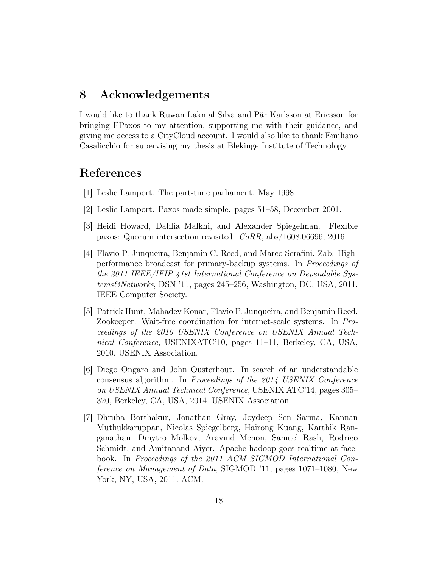### 8 Acknowledgements

I would like to thank Ruwan Lakmal Silva and Pär Karlsson at Ericsson for bringing FPaxos to my attention, supporting me with their guidance, and giving me access to a CityCloud account. I would also like to thank Emiliano Casalicchio for supervising my thesis at Blekinge Institute of Technology.

### References

- [1] Leslie Lamport. The part-time parliament. May 1998.
- [2] Leslie Lamport. Paxos made simple. pages 51–58, December 2001.
- [3] Heidi Howard, Dahlia Malkhi, and Alexander Spiegelman. Flexible paxos: Quorum intersection revisited. CoRR, abs/1608.06696, 2016.
- [4] Flavio P. Junqueira, Benjamin C. Reed, and Marco Serafini. Zab: Highperformance broadcast for primary-backup systems. In Proceedings of the 2011 IEEE/IFIP 41st International Conference on Dependable Systems&Networks, DSN '11, pages 245–256, Washington, DC, USA, 2011. IEEE Computer Society.
- [5] Patrick Hunt, Mahadev Konar, Flavio P. Junqueira, and Benjamin Reed. Zookeeper: Wait-free coordination for internet-scale systems. In Proceedings of the 2010 USENIX Conference on USENIX Annual Technical Conference, USENIXATC'10, pages 11–11, Berkeley, CA, USA, 2010. USENIX Association.
- [6] Diego Ongaro and John Ousterhout. In search of an understandable consensus algorithm. In Proceedings of the 2014 USENIX Conference on USENIX Annual Technical Conference, USENIX ATC'14, pages 305– 320, Berkeley, CA, USA, 2014. USENIX Association.
- [7] Dhruba Borthakur, Jonathan Gray, Joydeep Sen Sarma, Kannan Muthukkaruppan, Nicolas Spiegelberg, Hairong Kuang, Karthik Ranganathan, Dmytro Molkov, Aravind Menon, Samuel Rash, Rodrigo Schmidt, and Amitanand Aiyer. Apache hadoop goes realtime at facebook. In Proceedings of the 2011 ACM SIGMOD International Conference on Management of Data, SIGMOD '11, pages 1071–1080, New York, NY, USA, 2011. ACM.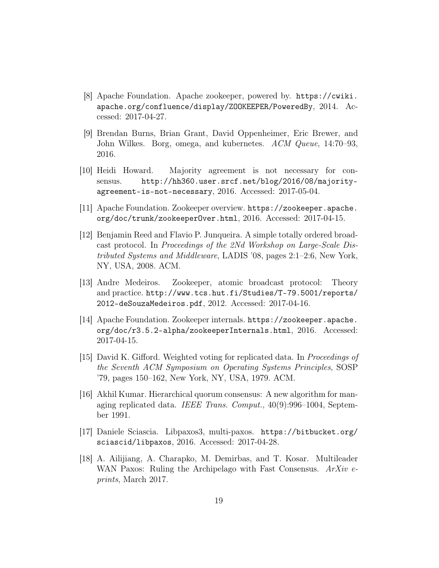- [8] Apache Foundation. Apache zookeeper, powered by. https://cwiki. apache.org/confluence/display/ZOOKEEPER/PoweredBy, 2014. Accessed: 2017-04-27.
- [9] Brendan Burns, Brian Grant, David Oppenheimer, Eric Brewer, and John Wilkes. Borg, omega, and kubernetes. ACM Queue, 14:70–93, 2016.
- [10] Heidi Howard. Majority agreement is not necessary for consensus. http://hh360.user.srcf.net/blog/2016/08/majorityagreement-is-not-necessary, 2016. Accessed: 2017-05-04.
- [11] Apache Foundation. Zookeeper overview. https://zookeeper.apache. org/doc/trunk/zookeeperOver.html, 2016. Accessed: 2017-04-15.
- [12] Benjamin Reed and Flavio P. Junqueira. A simple totally ordered broadcast protocol. In Proceedings of the 2Nd Workshop on Large-Scale Distributed Systems and Middleware, LADIS '08, pages 2:1–2:6, New York, NY, USA, 2008. ACM.
- [13] Andre Medeiros. Zookeeper, atomic broadcast protocol: Theory and practice. http://www.tcs.hut.fi/Studies/T-79.5001/reports/ 2012-deSouzaMedeiros.pdf, 2012. Accessed: 2017-04-16.
- [14] Apache Foundation. Zookeeper internals. https://zookeeper.apache. org/doc/r3.5.2-alpha/zookeeperInternals.html, 2016. Accessed: 2017-04-15.
- [15] David K. Gifford. Weighted voting for replicated data. In *Proceedings of* the Seventh ACM Symposium on Operating Systems Principles, SOSP '79, pages 150–162, New York, NY, USA, 1979. ACM.
- [16] Akhil Kumar. Hierarchical quorum consensus: A new algorithm for managing replicated data. IEEE Trans. Comput., 40(9):996–1004, September 1991.
- [17] Daniele Sciascia. Libpaxos3, multi-paxos. https://bitbucket.org/ sciascid/libpaxos, 2016. Accessed: 2017-04-28.
- [18] A. Ailijiang, A. Charapko, M. Demirbas, and T. Kosar. Multileader WAN Paxos: Ruling the Archipelago with Fast Consensus. ArXiv eprints, March 2017.